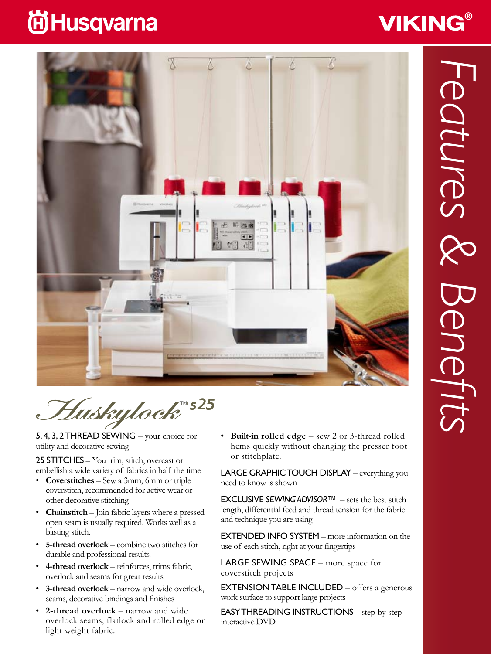## **尚Husqvarna**





™s2

5, 4, 3, 2 THREAD SEWING – your choice for utility and decorative sewing

25 STITCHES – You trim, stitch, overcast or embellish a wide variety of fabrics in half the time

- • **Coverstitches** Sew a 3mm, 6mm or triple coverstitch, recommended for active wear or other decorative stitching
- • **Chainstitch** Join fabric layers where a pressed open seam is usually required. Works well as a basting stitch.
- • **5-thread overlock**  combine two stitches for durable and professional results.
- 4-thread overlock reinforces, trims fabric, overlock and seams for great results.
- • **3-thread overlock**  narrow and wide overlock, seams, decorative bindings and finishes
- 2-thread overlock narrow and wide overlock seams, flatlock and rolled edge on light weight fabric.

• **Built-in rolled edge** – sew 2 or 3-thread rolled hems quickly without changing the presser foot or stitchplate.

LARGE GRAPHIC TOUCH DISPLAY – everything you need to know is shown

Exclusive *Sewing Advisor*™ – sets the best stitch length, differential feed and thread tension for the fabric and technique you are using

**EXTENDED INFO SYSTEM** – more information on the use of each stitch, right at your fingertips

LARGE SEWING SPACE – more space for coverstitch projects

**EXTENSION TABLE INCLUDED**  $-$  offers a generous work surface to support large projects

Easy threading instructions – step-by-step interactive DVD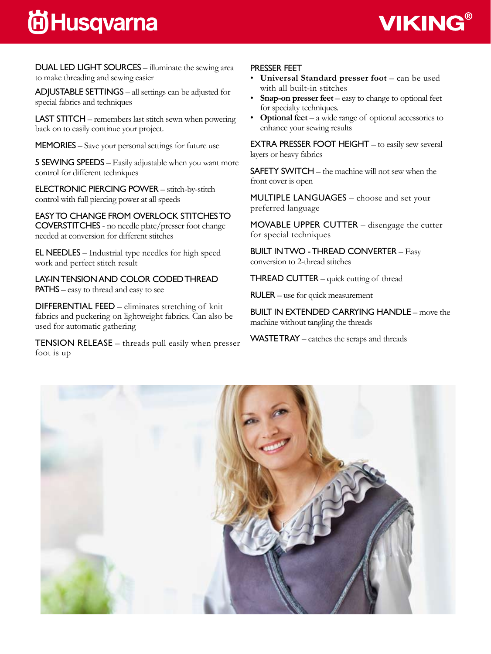## **间Husqvarna**



DUAL LED LIGHT SOURCES – illuminate the sewing area to make threading and sewing easier

ADJUSTABLE SETTINGS  $-$  all settings can be adjusted for special fabrics and techniques

LAST STITCH – remembers last stitch sewn when powering back on to easily continue your project.

MEMORIES – Save your personal settings for future use

5 SEWING SPEEDS – Easily adjustable when you want more control for different techniques

Electronic piercing Power – stitch-by-stitch control with full piercing power at all speeds

Easy to change from overlock stitches to coverstitches - no needle plate/presser foot change needed at conversion for different stitches

**EL NEEDLES** – Industrial type needles for high speed work and perfect stitch result

Lay-in tension and color coded thread **PATHS** – easy to thread and easy to see

**DIFFERENTIAL FEED** – eliminates stretching of knit fabrics and puckering on lightweight fabrics. Can also be used for automatic gathering

TENSION RELEASE – threads pull easily when presser foot is up

#### Presser feet

- Universal Standard presser foot can be used with all built-in stitches
- **Snap-on presser feet** easy to change to optional feet for specialty techniques.
- **Optional feet** a wide range of optional accessories to enhance your sewing results

**EXTRA PRESSER FOOT HEIGHT**  $-$  to easily sew several layers or heavy fabrics

**SAFETY SWITCH** – the machine will not sew when the front cover is open

MULTIPLE LANGUAGES – choose and set your preferred language

MOVABLE UPPER CUTTER  $-$  disengage the cutter for special techniques

Built in two - thread converter – Easy conversion to 2-thread stitches

**THREAD CUTTER** – quick cutting of thread

 $RULER - use for quick measurement$ 

Built in extended carrying handle – move the machine without tangling the threads

 $WASTETRAY - catches the scraps and threads$